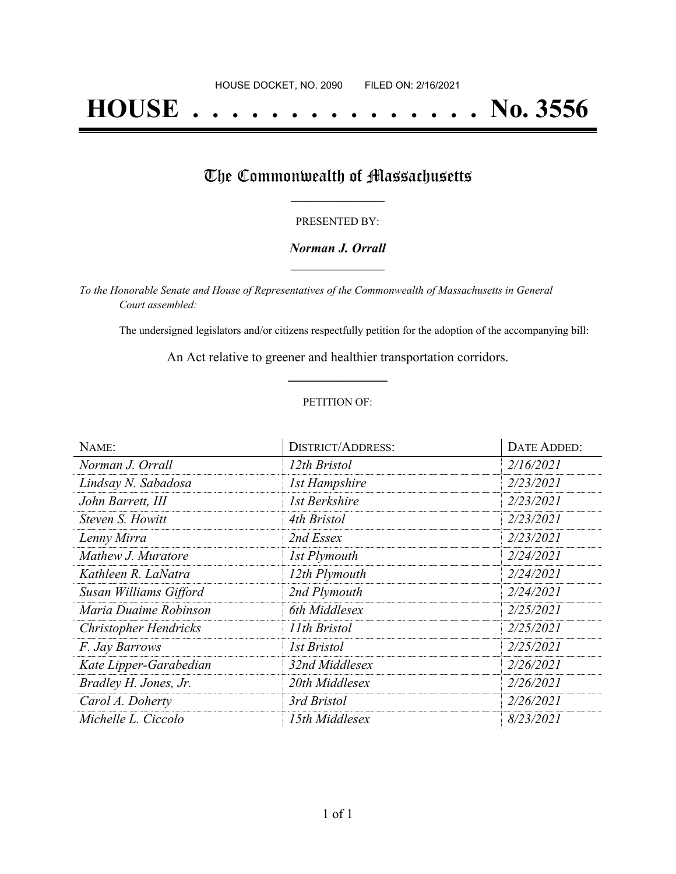# **HOUSE . . . . . . . . . . . . . . . No. 3556**

## The Commonwealth of Massachusetts

#### PRESENTED BY:

#### *Norman J. Orrall* **\_\_\_\_\_\_\_\_\_\_\_\_\_\_\_\_\_**

*To the Honorable Senate and House of Representatives of the Commonwealth of Massachusetts in General Court assembled:*

The undersigned legislators and/or citizens respectfully petition for the adoption of the accompanying bill:

An Act relative to greener and healthier transportation corridors. **\_\_\_\_\_\_\_\_\_\_\_\_\_\_\_**

#### PETITION OF:

| NAME:                        | <b>DISTRICT/ADDRESS:</b> | <b>DATE ADDED:</b> |
|------------------------------|--------------------------|--------------------|
| Norman J. Orrall             | 12th Bristol             | 2/16/2021          |
| Lindsay N. Sabadosa          | <b>1st Hampshire</b>     | 2/23/2021          |
| John Barrett, III            | 1st Berkshire            | 2/23/2021          |
| Steven S. Howitt             | 4th Bristol              | 2/23/2021          |
| Lenny Mirra                  | 2nd Essex                | 2/23/2021          |
| Mathew J. Muratore           | 1st Plymouth             | 2/24/2021          |
| Kathleen R. LaNatra          | 12th Plymouth            | 2/24/2021          |
| Susan Williams Gifford       | 2nd Plymouth             | 2/24/2021          |
| Maria Duaime Robinson        | 6th Middlesex            | 2/25/2021          |
| <b>Christopher Hendricks</b> | 11th Bristol             | 2/25/2021          |
| F. Jay Barrows               | <b>1st Bristol</b>       | 2/25/2021          |
| Kate Lipper-Garabedian       | 32nd Middlesex           | 2/26/2021          |
| Bradley H. Jones, Jr.        | 20th Middlesex           | 2/26/2021          |
| Carol A. Doherty             | 3rd Bristol              | 2/26/2021          |
| Michelle L. Ciccolo          | 15th Middlesex           | 8/23/2021          |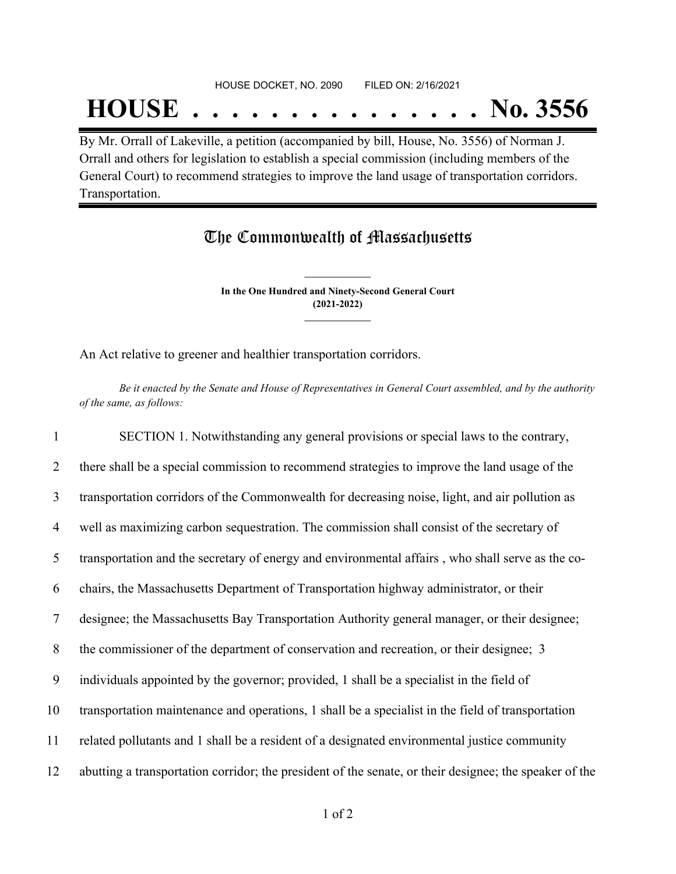#### HOUSE DOCKET, NO. 2090 FILED ON: 2/16/2021

## **HOUSE . . . . . . . . . . . . . . . No. 3556**

By Mr. Orrall of Lakeville, a petition (accompanied by bill, House, No. 3556) of Norman J. Orrall and others for legislation to establish a special commission (including members of the General Court) to recommend strategies to improve the land usage of transportation corridors. Transportation.

### The Commonwealth of Massachusetts

**In the One Hundred and Ninety-Second General Court (2021-2022) \_\_\_\_\_\_\_\_\_\_\_\_\_\_\_**

**\_\_\_\_\_\_\_\_\_\_\_\_\_\_\_**

An Act relative to greener and healthier transportation corridors.

Be it enacted by the Senate and House of Representatives in General Court assembled, and by the authority *of the same, as follows:*

 SECTION 1. Notwithstanding any general provisions or special laws to the contrary, 2 there shall be a special commission to recommend strategies to improve the land usage of the transportation corridors of the Commonwealth for decreasing noise, light, and air pollution as well as maximizing carbon sequestration. The commission shall consist of the secretary of transportation and the secretary of energy and environmental affairs , who shall serve as the co- chairs, the Massachusetts Department of Transportation highway administrator, or their designee; the Massachusetts Bay Transportation Authority general manager, or their designee; the commissioner of the department of conservation and recreation, or their designee; 3 individuals appointed by the governor; provided, 1 shall be a specialist in the field of transportation maintenance and operations, 1 shall be a specialist in the field of transportation related pollutants and 1 shall be a resident of a designated environmental justice community abutting a transportation corridor; the president of the senate, or their designee; the speaker of the